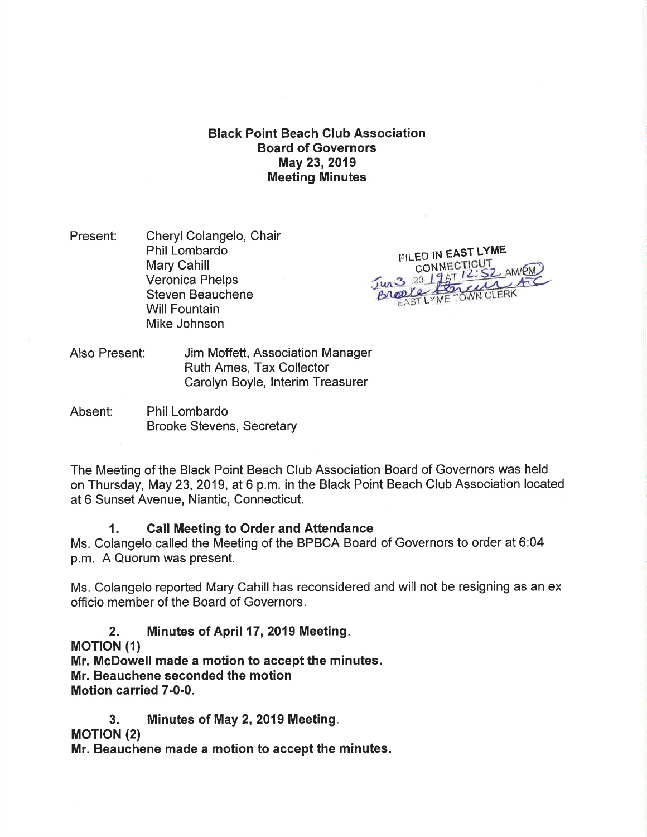Black Point Beach Club Association Board of Governors May 23, 2019 Meeting Minutes

Present: Cheryl Colangelo, Chair Phil Lombardo Mary Cahill Veronica Phelps Steven Beauchene Will Fountain Mike Johnson

FILED IN EAST LYME **CONNECTICUT** SZ AM/RM **VN CLERK** t.

- Also Present: Jim Moffett, Association Manager Ruth Ames, Tax Collector Carolyn Boyle, lnterim Treasurer
- Absent: Phil Lombardo Brooke Stevens, Secretary

The Meeting of the Black Point Beach Club Association Board of Governors was held on Thursday, May 23,2019, at 6 p.m. in the Black Point Beach Club Association located at 6 Sunset Avenue, Niantic, Connecticut.

#### 1. Gall Meeting to Order and Attendance

Ms. Colangelo called the Meeting of the BPBCA Board of Governors to order at 6:04 p.m. A Quorum was present.

Ms. Colangelo reported Mary Cahill has reconsidered and will not be resigning as an ex officio member of the Board of Governors.

2. Minutes of April 17,2019 Meeting.

MOflON (1)

Mr. McDowell made a motion to accept the minutes. Mr. Beauchene seconded the motion Motion carried 7-0-0.

3. Minutes of May 2, 2019 Meeting. MOflON (2) Mr. Beauchene made a motion to accept the minutes.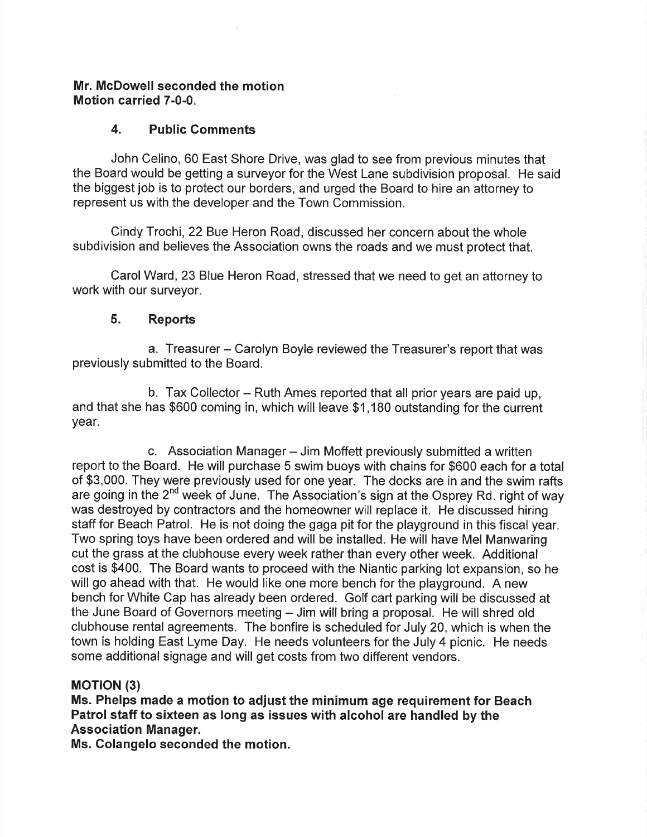## Mr. McDowell seconded the motion Motion carried 7-0-0.

## 4. Public Gomments

John Celino, 60 East Shore Drive, was glad to see from previous minutes that the Board would be getting a surveyor for the West Lane subdivision proposal. He said the biggest job is to protect our borders, and urged the Board to hire an attorney to represent us with the developer and the Town Commission.

Cindy Trochi, 22 Bue Heron Road, discussed her concern about the whole subdivision and believes the Association owns the roads and we must protect that.

CarolWard, 23 Blue Heron Road, stressed that we need to get an attorney to work with our surveyor.

## 5. Reports

a. Treasurer – Carolyn Boyle reviewed the Treasurer's report that was previously submitted to the Board.

b. Tax Collector - Ruth Ames reported that all prior years are paid up, and that she has \$600 coming in, which will leave \$1 ,180 outstanding for the current year.

c. Association Manager - Jim Moffett previously submitted a written report to the Board. He will purchase 5 swim buoys with chains for \$600 each for a total of \$3,000. They were previously used for one year. The docks are in and the swim rafts are going in the 2<sup>nd</sup> week of June. The Association's sign at the Osprey Rd. right of way was destroyed by contractors and the homeowner will replace it. He discussed hiring staff for Beach Patrol. He is not doing the gaga pit for the playground in this fiscal year. Two spring toys have been ordered and will be installed. He will have Mel Manwaring cut the grass at the clubhouse every week rather than every other week. Additional cost is \$400. The Board wants to proceed with the Niantic parking lot expansion, so he will go ahead with that. He would like one more bench for the playground. A new bench for White Cap has already been ordered. Golf cart parking will be discussed at the June Board of Governors meeting - Jim will bring a proposal. He will shred old clubhouse rental agreements. The bonfire is scheduled for July 20, which is when the town is holding East Lyme Day. He needs volunteers for the July 4 picnic. He needs some additional signage and will get costs from two different vendors.

## **MOTION (3)**

Ms. Phelps made a motion to adjust the minimum age requirement for Beach Patrol staff to sixteen as long as issues with alcohol are handled by the Association Manager.

Ms. Colangelo seconded the motion.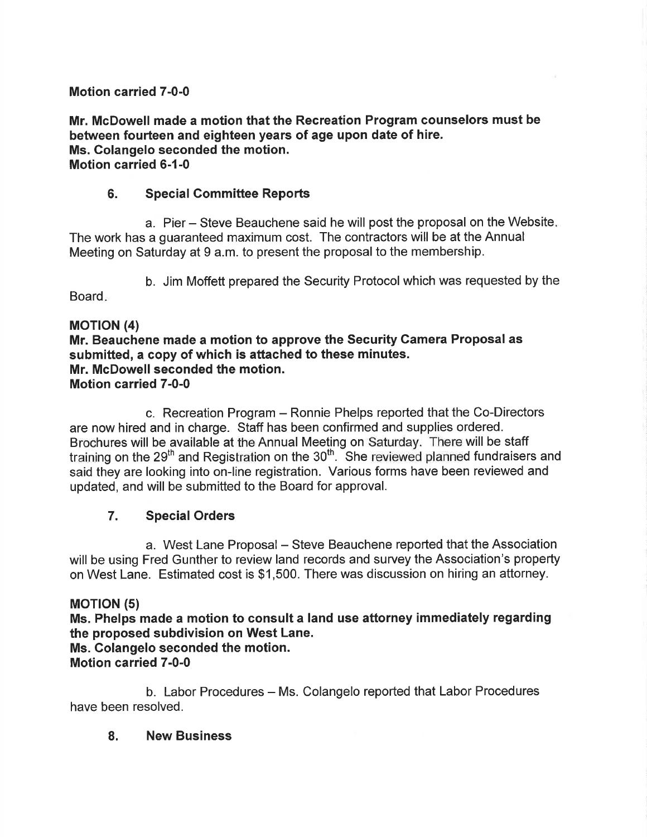Motion carried 7-0-0

Mr. McDowell made a motion that the Recreation Program counselors must be between fourteen and eighteen years of age upon date of hire. Ms. Colangelo seconded the motion. Motion carried 6-1-0

# 6. Special Committee Reports

a. Pier - Steve Beauchene said he will post the proposal on the Website The work has a guaranteed maximum cost. The contractors will be at the Annual Meeting on Saturday at 9 a.m. to present the proposal to the membership.

Board

# b. Jim Moffett prepared the Security Protocolwhich was requested by the

# **MOTION (4)**

# Mr. Beauchene made a motion to approve the Security Gamera Proposal as submitted, a copy of which is attached to these minutes. Mr. McDowell seconded the motion. Motion carried 7-0-0

c. Recreation Program – Ronnie Phelps reported that the Co-Directors are now hired and in charge. Staff has been confirmed and supplies ordered. Brochures will be available at the Annual Meeting on Saturday. There will be staff training on the 29<sup>th</sup> and Registration on the 30<sup>th</sup>. She reviewed planned fundraisers and said they are looking into on-line registration. Various forms have been reviewed and updated, and will be submitted to the Board for approval.

# 7. Special Orders

a. West Lane Proposal – Steve Beauchene reported that the Association will be using Fred Gunther to review land records and survey the Association's property on West Lane. Estimated cost is \$1,500. There was discussion on hiring an attorney.

# **MOTION (5)**

Ms. Phelps made a motion to consult a land use attorney immediately regarding the proposed subdivision on West Lane. Ms. Colangelo seconded the motion.

# Motion carried 7-0-0

b. Labor Procedures - Ms. Colangelo reported that Labor Procedures have been resolved.

# 8. New Business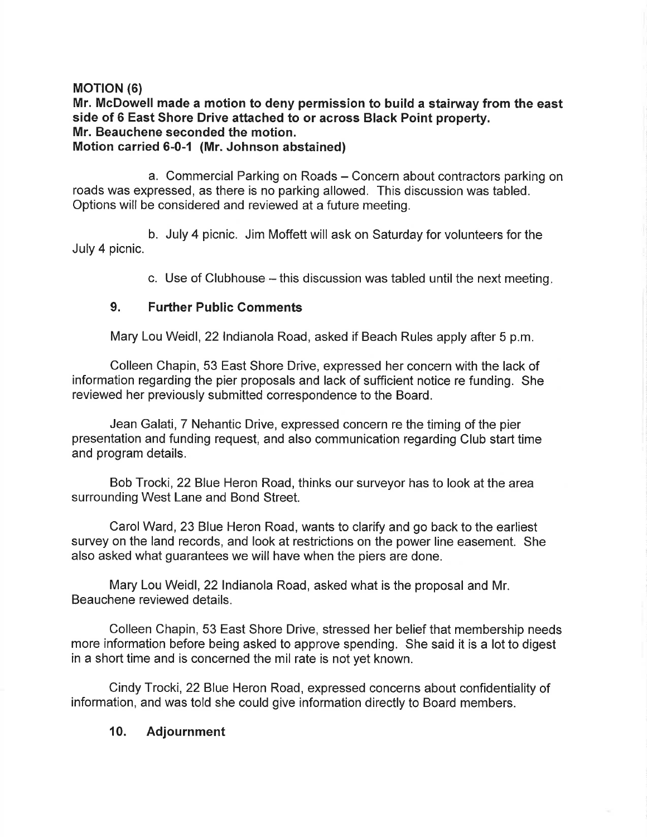## MOTION (6)

# Mr. McDowell made a motion to deny permission to build a stairway from the east side of 6 East Shore Drive attached to or across Black Point property. Mr. Beauchene seconded the motion.

#### Motion carried 6-0-1 (Mr. Johnson abstained)

a. Commercial Parking on Roads – Concern about contractors parking on roads was expressed, as there is no parking allowed. This discussion was tabled. Options will be considered and reviewed at a future meeting.

b. July 4 picnic. Jim Moffett will ask on Saturday for volunteers for the July 4 picnic.

c. Use of Clubhouse  $-$  this discussion was tabled until the next meeting.

## 9. Further Public Comments

Mary Lou Weidl, 22 Indianola Road, asked if Beach Rules apply after 5 p.m.

Colleen Chapin, 53 East Shore Drive, expressed her concern with the lack of information regarding the pier proposals and lack of sufficient notice re funding. She reviewed her previously submitted correspondence to the Board.

Jean Galati, 7 Nehantic Drive, expressed concern re the timing of the pier presentation and funding request, and also communication regarding Club start time and program details.

Bob Trocki, 22 Blue Heron Road, thinks our surveyor has to look at the area surrounding West Lane and Bond Street.

Carol Ward, 23 Blue Heron Road, wants to clarify and go back to the earliest survey on the land records, and look at restrictions on the power line easement. She also asked what guarantees we will have when the piers are done.

Mary Lou Weidl, 22 Indianola Road, asked what is the proposal and Mr. Beauchene reviewed details.

Colleen Chapin, 53 East Shore Drive, stressed her belief that membership needs more information before being asked to approve spending. She said it is a lot to digest in a short time and is concerned the mil rate is not yet known.

Cindy Trocki, 22 Blue Heron Road, expressed concerns about confidentiality of information, and was told she could give information directly to Board members.

## 10. Adjournment